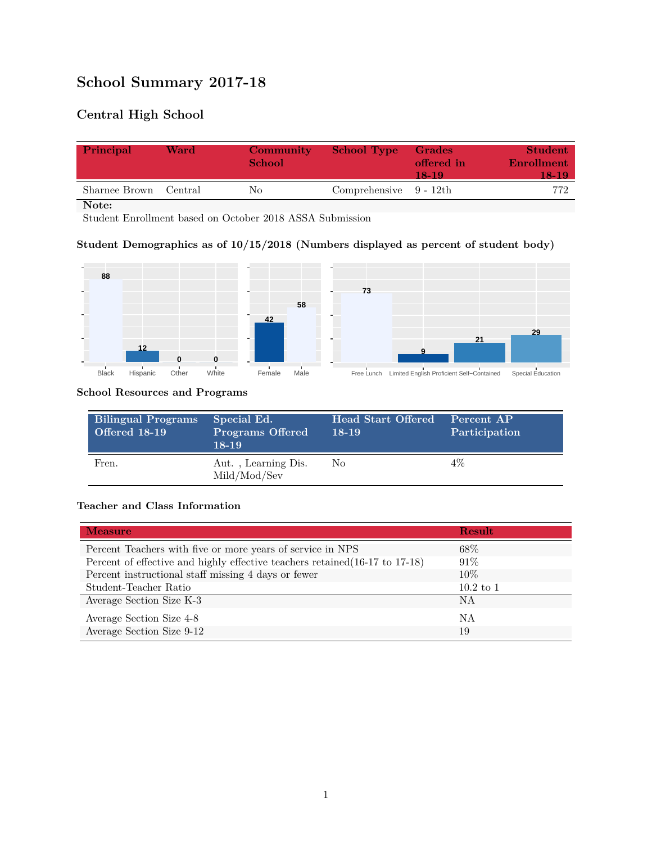# **School Summary 2017-18**

# **Central High School**

| Principal     | Ward    | Community<br><b>School</b> | <b>School Type</b>        | Grades<br>offered in<br>18-19 | <b>Student</b><br>Enrollment<br>18-19' |
|---------------|---------|----------------------------|---------------------------|-------------------------------|----------------------------------------|
| Sharnee Brown | Central | Nο                         | Comprehensive $9 - 12$ th |                               | 772                                    |

**Note:**

Student Enrollment based on October 2018 ASSA Submission

### **Student Demographics as of 10/15/2018 (Numbers displayed as percent of student body)**



#### **School Resources and Programs**

| Bilingual Programs<br>Offered 18-19 | Special Ed.<br><b>Programs Offered</b><br>$18-19$ | <b>Head Start Offered</b><br>$18-19$ | Percent AP<br>Participation |
|-------------------------------------|---------------------------------------------------|--------------------------------------|-----------------------------|
| Fren.                               | Aut., Learning Dis.<br>Mild/Mod/Sev               | No.                                  | 4%                          |

#### **Teacher and Class Information**

| <b>Measure</b>                                                               | <b>Result</b> |
|------------------------------------------------------------------------------|---------------|
| Percent Teachers with five or more years of service in NPS                   | $68\%$        |
| Percent of effective and highly effective teachers retained (16-17 to 17-18) | $91\%$        |
| Percent instructional staff missing 4 days or fewer                          | 10%           |
| Student-Teacher Ratio                                                        | $10.2$ to 1   |
| Average Section Size K-3                                                     | NA            |
| Average Section Size 4-8                                                     | ΝA            |
| Average Section Size 9-12                                                    | 19            |